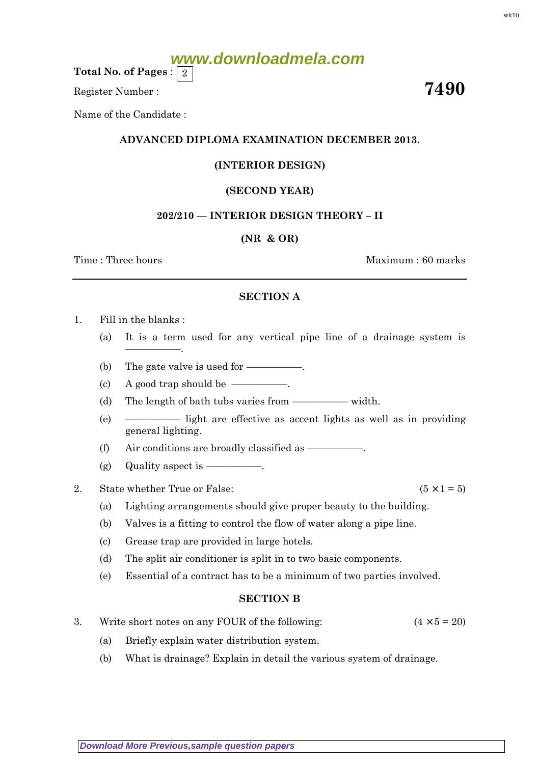# **www.downloadmela.com**

Total No. of Pages :  $\mid 2 \rangle$ 

Register Number :  $7490$ 

Name of the Candidate :

## ADVANCED DIPLOMA EXAMINATION DECEMBER 2013.

# (INTERIOR DESIGN)

### (SECOND YEAR)

### 202/210 — INTERIOR DESIGN THEORY – II

### (NR & OR)

Time : Three hours and the set of the set of the Maximum : 60 marks

#### SECTION A

- 1. Fill in the blanks :
	- (a) It is a term used for any vertical pipe line of a drainage system is
	- (b) The gate valve is used for  $\equiv$
	- (c) A good trap should be  $\overline{\hspace{1.5cm}}$ .
	- (d) The length of bath tubs varies from –––––––––– width.
	- (e) –––––––––– light are effective as accent lights as well as in providing general lighting.
	- (f) Air conditions are broadly classified as  $\equiv$
	- (g) Quality aspect is  $-\qquad$
- 2. State whether True or False:  $(5 \times 1 = 5)$

––––––––––.

- (a) Lighting arrangements should give proper beauty to the building.
- (b) Valves is a fitting to control the flow of water along a pipe line.
- (c) Grease trap are provided in large hotels.
- (d) The split air conditioner is split in to two basic components.
- (e) Essential of a contract has to be a minimum of two parties involved.

#### SECTION B

- 3. Write short notes on any FOUR of the following:  $(4 \times 5 = 20)$ 
	- (a) Briefly explain water distribution system.
	- (b) What is drainage? Explain in detail the various system of drainage.